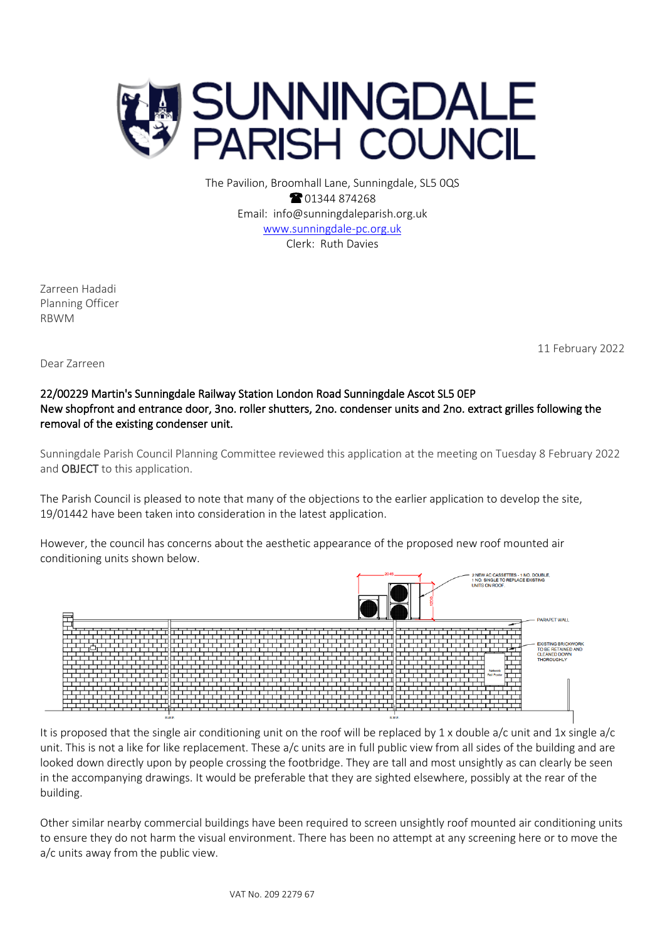

The Pavilion, Broomhall Lane, Sunningdale, SL5 0QS **@01344874268** Email: info@sunningdaleparish.org.uk [www.sunningdale-pc.org.uk](http://www.sunningdale-pc.org.uk/) Clerk: Ruth Davies

Zarreen Hadadi Planning Officer RBWM

11 February 2022

Dear Zarreen

## 22/00229 Martin's Sunningdale Railway Station London Road Sunningdale Ascot SL5 0EP New shopfront and entrance door, 3no. roller shutters, 2no. condenser units and 2no. extract grilles following the removal of the existing condenser unit.

Sunningdale Parish Council Planning Committee reviewed this application at the meeting on Tuesday 8 February 2022 and OBJECT to this application.

The Parish Council is pleased to note that many of the objections to the earlier application to develop the site, 19/01442 have been taken into consideration in the latest application.

However, the council has concerns about the aesthetic appearance of the proposed new roof mounted air conditioning units shown below.



It is proposed that the single air conditioning unit on the roof will be replaced by 1 x double a/c unit and 1x single  $a/c$ unit. This is not a like for like replacement. These a/c units are in full public view from all sides of the building and are looked down directly upon by people crossing the footbridge. They are tall and most unsightly as can clearly be seen in the accompanying drawings. It would be preferable that they are sighted elsewhere, possibly at the rear of the building.

Other similar nearby commercial buildings have been required to screen unsightly roof mounted air conditioning units to ensure they do not harm the visual environment. There has been no attempt at any screening here or to move the a/c units away from the public view.